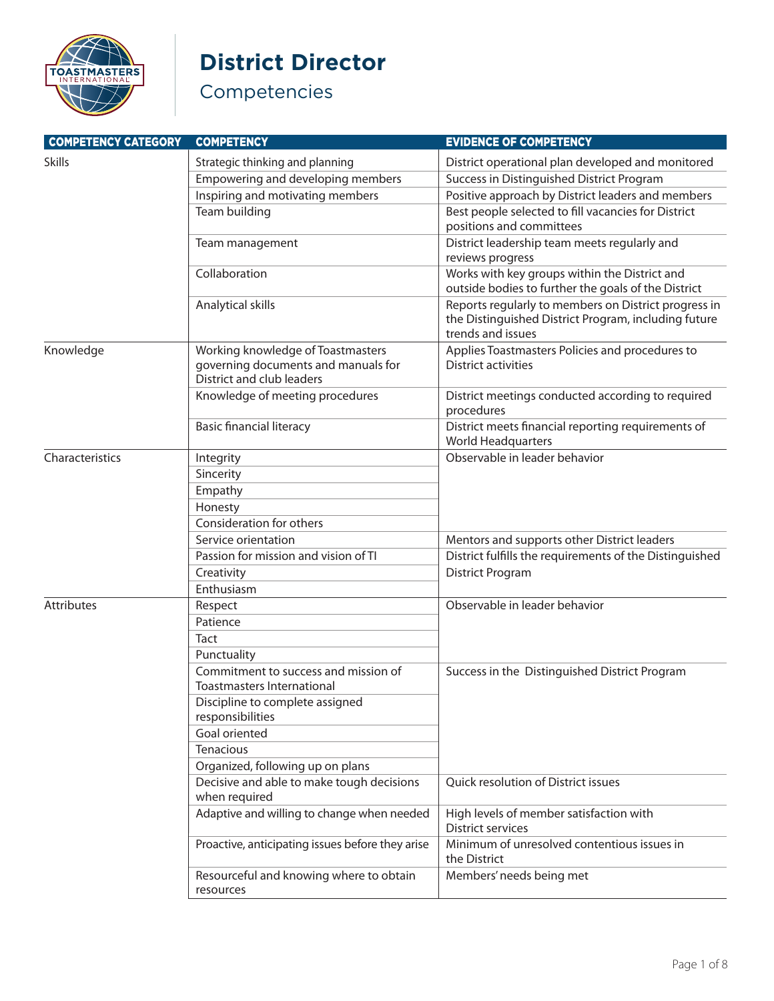

#### **District Director**

| <b>COMPETENCY CATEGORY</b> | <b>COMPETENCY</b>                                                                                     | <b>EVIDENCE OF COMPETENCY</b>                                                                                                     |
|----------------------------|-------------------------------------------------------------------------------------------------------|-----------------------------------------------------------------------------------------------------------------------------------|
| <b>Skills</b>              | Strategic thinking and planning                                                                       | District operational plan developed and monitored                                                                                 |
|                            | Empowering and developing members                                                                     | Success in Distinguished District Program                                                                                         |
|                            | Inspiring and motivating members                                                                      | Positive approach by District leaders and members                                                                                 |
|                            | Team building                                                                                         | Best people selected to fill vacancies for District<br>positions and committees                                                   |
|                            | Team management                                                                                       | District leadership team meets regularly and<br>reviews progress                                                                  |
|                            | Collaboration                                                                                         | Works with key groups within the District and<br>outside bodies to further the goals of the District                              |
|                            | Analytical skills                                                                                     | Reports regularly to members on District progress in<br>the Distinguished District Program, including future<br>trends and issues |
| Knowledge                  | Working knowledge of Toastmasters<br>governing documents and manuals for<br>District and club leaders | Applies Toastmasters Policies and procedures to<br><b>District activities</b>                                                     |
|                            | Knowledge of meeting procedures                                                                       | District meetings conducted according to required<br>procedures                                                                   |
|                            | <b>Basic financial literacy</b>                                                                       | District meets financial reporting requirements of<br><b>World Headquarters</b>                                                   |
| Characteristics            | Integrity                                                                                             | Observable in leader behavior                                                                                                     |
|                            | Sincerity                                                                                             |                                                                                                                                   |
|                            | Empathy                                                                                               |                                                                                                                                   |
|                            | Honesty                                                                                               |                                                                                                                                   |
|                            | Consideration for others                                                                              |                                                                                                                                   |
|                            | Service orientation                                                                                   | Mentors and supports other District leaders                                                                                       |
|                            | Passion for mission and vision of TI                                                                  | District fulfills the requirements of the Distinguished                                                                           |
|                            | Creativity                                                                                            | <b>District Program</b>                                                                                                           |
|                            | Enthusiasm                                                                                            |                                                                                                                                   |
| Attributes                 | Respect                                                                                               | Observable in leader behavior                                                                                                     |
|                            | Patience                                                                                              |                                                                                                                                   |
|                            | Tact                                                                                                  |                                                                                                                                   |
|                            | Punctuality                                                                                           |                                                                                                                                   |
|                            | Commitment to success and mission of<br><b>Toastmasters International</b>                             | Success in the Distinguished District Program                                                                                     |
|                            | Discipline to complete assigned<br>responsibilities                                                   |                                                                                                                                   |
|                            | Goal oriented                                                                                         |                                                                                                                                   |
|                            | Tenacious                                                                                             |                                                                                                                                   |
|                            | Organized, following up on plans                                                                      |                                                                                                                                   |
|                            | Decisive and able to make tough decisions<br>when required                                            | Quick resolution of District issues                                                                                               |
|                            | Adaptive and willing to change when needed                                                            | High levels of member satisfaction with<br><b>District services</b>                                                               |
|                            | Proactive, anticipating issues before they arise                                                      | Minimum of unresolved contentious issues in<br>the District                                                                       |
|                            | Resourceful and knowing where to obtain<br>resources                                                  | Members' needs being met                                                                                                          |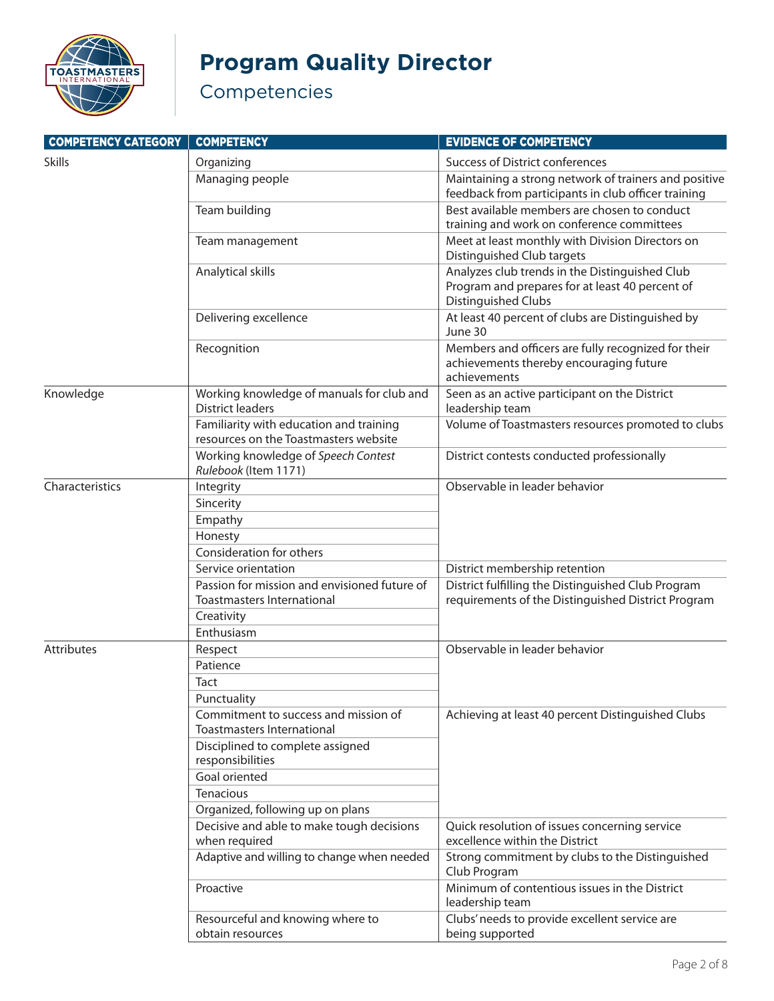

# **Program Quality Director**

| <b>COMPETENCY CATEGORY</b> | <b>COMPETENCY</b>                                                                | <b>EVIDENCE OF COMPETENCY</b>                                                                                            |
|----------------------------|----------------------------------------------------------------------------------|--------------------------------------------------------------------------------------------------------------------------|
| <b>Skills</b>              | Organizing                                                                       | <b>Success of District conferences</b>                                                                                   |
|                            | Managing people                                                                  | Maintaining a strong network of trainers and positive<br>feedback from participants in club officer training             |
|                            | Team building                                                                    | Best available members are chosen to conduct<br>training and work on conference committees                               |
|                            | Team management                                                                  | Meet at least monthly with Division Directors on<br>Distinguished Club targets                                           |
|                            | Analytical skills                                                                | Analyzes club trends in the Distinguished Club<br>Program and prepares for at least 40 percent of<br>Distinguished Clubs |
|                            | Delivering excellence                                                            | At least 40 percent of clubs are Distinguished by<br>June 30                                                             |
|                            | Recognition                                                                      | Members and officers are fully recognized for their<br>achievements thereby encouraging future<br>achievements           |
| Knowledge                  | Working knowledge of manuals for club and<br><b>District leaders</b>             | Seen as an active participant on the District<br>leadership team                                                         |
|                            | Familiarity with education and training<br>resources on the Toastmasters website | Volume of Toastmasters resources promoted to clubs                                                                       |
|                            | Working knowledge of Speech Contest<br>Rulebook (Item 1171)                      | District contests conducted professionally                                                                               |
| Characteristics            | Integrity                                                                        | Observable in leader behavior                                                                                            |
|                            | Sincerity                                                                        |                                                                                                                          |
|                            | Empathy                                                                          |                                                                                                                          |
|                            | Honesty                                                                          |                                                                                                                          |
|                            | Consideration for others                                                         |                                                                                                                          |
|                            | Service orientation                                                              | District membership retention                                                                                            |
|                            | Passion for mission and envisioned future of                                     | District fulfilling the Distinguished Club Program                                                                       |
|                            | <b>Toastmasters International</b>                                                | requirements of the Distinguished District Program                                                                       |
|                            | Creativity                                                                       |                                                                                                                          |
|                            | Enthusiasm                                                                       |                                                                                                                          |
| <b>Attributes</b>          | Respect                                                                          | Observable in leader behavior                                                                                            |
|                            | Patience                                                                         |                                                                                                                          |
|                            | Tact                                                                             |                                                                                                                          |
|                            | Punctuality                                                                      |                                                                                                                          |
|                            | Commitment to success and mission of<br><b>Toastmasters International</b>        | Achieving at least 40 percent Distinguished Clubs                                                                        |
|                            | Disciplined to complete assigned<br>responsibilities                             |                                                                                                                          |
|                            | Goal oriented                                                                    |                                                                                                                          |
|                            | Tenacious                                                                        |                                                                                                                          |
|                            | Organized, following up on plans                                                 |                                                                                                                          |
|                            | Decisive and able to make tough decisions<br>when required                       | Quick resolution of issues concerning service<br>excellence within the District                                          |
|                            | Adaptive and willing to change when needed                                       | Strong commitment by clubs to the Distinguished<br>Club Program                                                          |
|                            | Proactive                                                                        | Minimum of contentious issues in the District<br>leadership team                                                         |
|                            | Resourceful and knowing where to<br>obtain resources                             | Clubs' needs to provide excellent service are<br>being supported                                                         |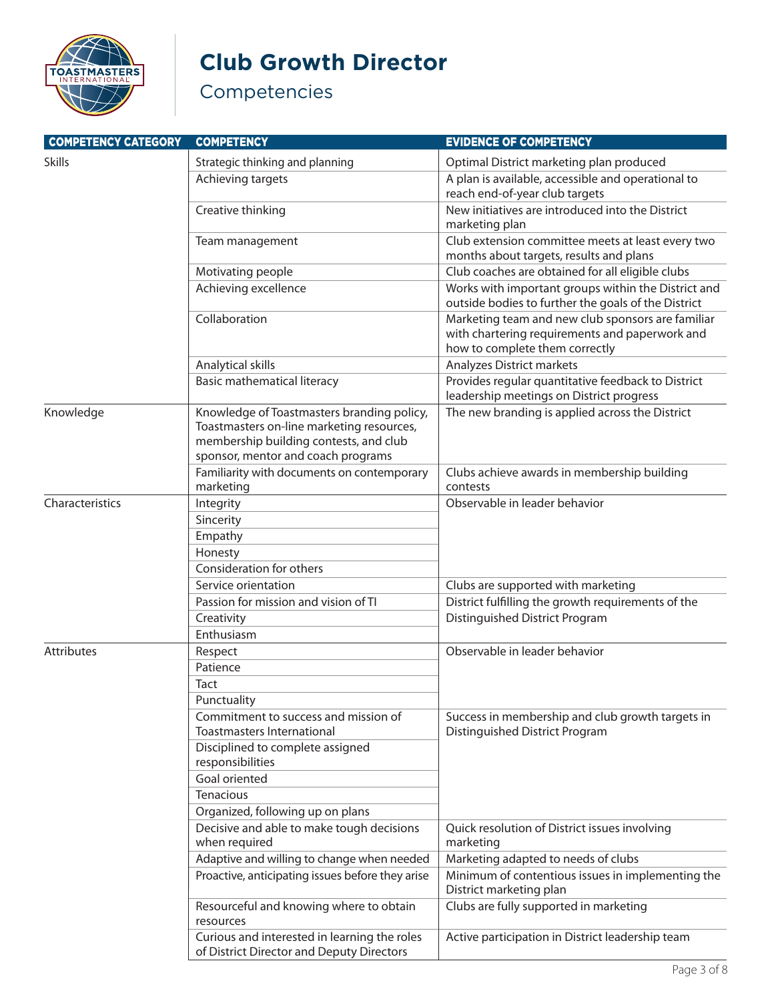

### **Club Growth Director**

| <b>COMPETENCY CATEGORY</b> | <b>COMPETENCY</b>                                                                                                                                                       | <b>EVIDENCE OF COMPETENCY</b>                                                                                                         |
|----------------------------|-------------------------------------------------------------------------------------------------------------------------------------------------------------------------|---------------------------------------------------------------------------------------------------------------------------------------|
| <b>Skills</b>              | Strategic thinking and planning                                                                                                                                         | Optimal District marketing plan produced                                                                                              |
|                            | Achieving targets                                                                                                                                                       | A plan is available, accessible and operational to<br>reach end-of-year club targets                                                  |
|                            | Creative thinking                                                                                                                                                       | New initiatives are introduced into the District<br>marketing plan                                                                    |
|                            | Team management                                                                                                                                                         | Club extension committee meets at least every two<br>months about targets, results and plans                                          |
|                            | Motivating people                                                                                                                                                       | Club coaches are obtained for all eligible clubs                                                                                      |
|                            | Achieving excellence                                                                                                                                                    | Works with important groups within the District and<br>outside bodies to further the goals of the District                            |
|                            | Collaboration                                                                                                                                                           | Marketing team and new club sponsors are familiar<br>with chartering requirements and paperwork and<br>how to complete them correctly |
|                            | Analytical skills                                                                                                                                                       | Analyzes District markets                                                                                                             |
|                            | Basic mathematical literacy                                                                                                                                             | Provides regular quantitative feedback to District<br>leadership meetings on District progress                                        |
| Knowledge                  | Knowledge of Toastmasters branding policy,<br>Toastmasters on-line marketing resources,<br>membership building contests, and club<br>sponsor, mentor and coach programs | The new branding is applied across the District                                                                                       |
|                            | Familiarity with documents on contemporary                                                                                                                              | Clubs achieve awards in membership building                                                                                           |
|                            | marketing                                                                                                                                                               | contests                                                                                                                              |
| Characteristics            | Integrity                                                                                                                                                               | Observable in leader behavior                                                                                                         |
|                            | Sincerity                                                                                                                                                               |                                                                                                                                       |
|                            | Empathy                                                                                                                                                                 |                                                                                                                                       |
|                            | Honesty<br>Consideration for others                                                                                                                                     |                                                                                                                                       |
|                            | Service orientation                                                                                                                                                     | Clubs are supported with marketing                                                                                                    |
|                            | Passion for mission and vision of TI                                                                                                                                    | District fulfilling the growth requirements of the                                                                                    |
|                            | Creativity                                                                                                                                                              | Distinguished District Program                                                                                                        |
|                            | Enthusiasm                                                                                                                                                              |                                                                                                                                       |
| <b>Attributes</b>          | Respect                                                                                                                                                                 | Observable in leader behavior                                                                                                         |
|                            | Patience                                                                                                                                                                |                                                                                                                                       |
|                            | Tact                                                                                                                                                                    |                                                                                                                                       |
|                            | Punctuality                                                                                                                                                             |                                                                                                                                       |
|                            | Commitment to success and mission of<br><b>Toastmasters International</b>                                                                                               | Success in membership and club growth targets in<br>Distinguished District Program                                                    |
|                            | Disciplined to complete assigned<br>responsibilities                                                                                                                    |                                                                                                                                       |
|                            | Goal oriented                                                                                                                                                           |                                                                                                                                       |
|                            | Tenacious                                                                                                                                                               |                                                                                                                                       |
|                            | Organized, following up on plans                                                                                                                                        |                                                                                                                                       |
|                            | Decisive and able to make tough decisions<br>when required                                                                                                              | Quick resolution of District issues involving<br>marketing                                                                            |
|                            | Adaptive and willing to change when needed                                                                                                                              | Marketing adapted to needs of clubs                                                                                                   |
|                            | Proactive, anticipating issues before they arise                                                                                                                        | Minimum of contentious issues in implementing the<br>District marketing plan                                                          |
|                            | Resourceful and knowing where to obtain<br>resources                                                                                                                    | Clubs are fully supported in marketing                                                                                                |
|                            | Curious and interested in learning the roles<br>of District Director and Deputy Directors                                                                               | Active participation in District leadership team                                                                                      |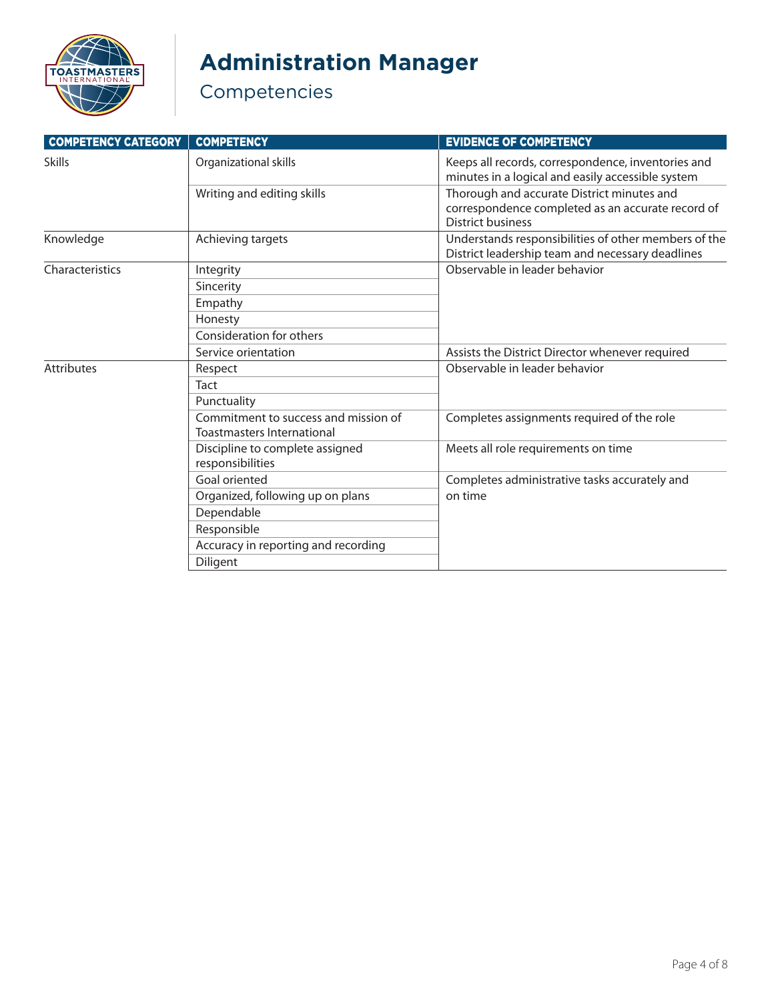

# **Administration Manager**

| <b>COMPETENCY CATEGORY</b> | <b>COMPETENCY</b>                                                  | <b>EVIDENCE OF COMPETENCY</b>                                                                                               |
|----------------------------|--------------------------------------------------------------------|-----------------------------------------------------------------------------------------------------------------------------|
| <b>Skills</b>              | Organizational skills                                              | Keeps all records, correspondence, inventories and<br>minutes in a logical and easily accessible system                     |
|                            | Writing and editing skills                                         | Thorough and accurate District minutes and<br>correspondence completed as an accurate record of<br><b>District business</b> |
| Knowledge                  | Achieving targets                                                  | Understands responsibilities of other members of the<br>District leadership team and necessary deadlines                    |
| Characteristics            | Integrity                                                          | Observable in leader behavior                                                                                               |
|                            | Sincerity                                                          |                                                                                                                             |
|                            | Empathy                                                            |                                                                                                                             |
|                            | Honesty                                                            |                                                                                                                             |
|                            | Consideration for others                                           |                                                                                                                             |
|                            | Service orientation                                                | Assists the District Director whenever required                                                                             |
| <b>Attributes</b>          | Respect                                                            | Observable in leader behavior                                                                                               |
|                            | Tact                                                               |                                                                                                                             |
|                            | Punctuality                                                        |                                                                                                                             |
|                            | Commitment to success and mission of<br>Toastmasters International | Completes assignments required of the role<br>Meets all role requirements on time                                           |
|                            | Discipline to complete assigned<br>responsibilities                |                                                                                                                             |
|                            | Goal oriented                                                      | Completes administrative tasks accurately and                                                                               |
|                            | Organized, following up on plans                                   | on time                                                                                                                     |
|                            | Dependable                                                         |                                                                                                                             |
|                            | Responsible                                                        |                                                                                                                             |
|                            | Accuracy in reporting and recording                                |                                                                                                                             |
|                            | Diligent                                                           |                                                                                                                             |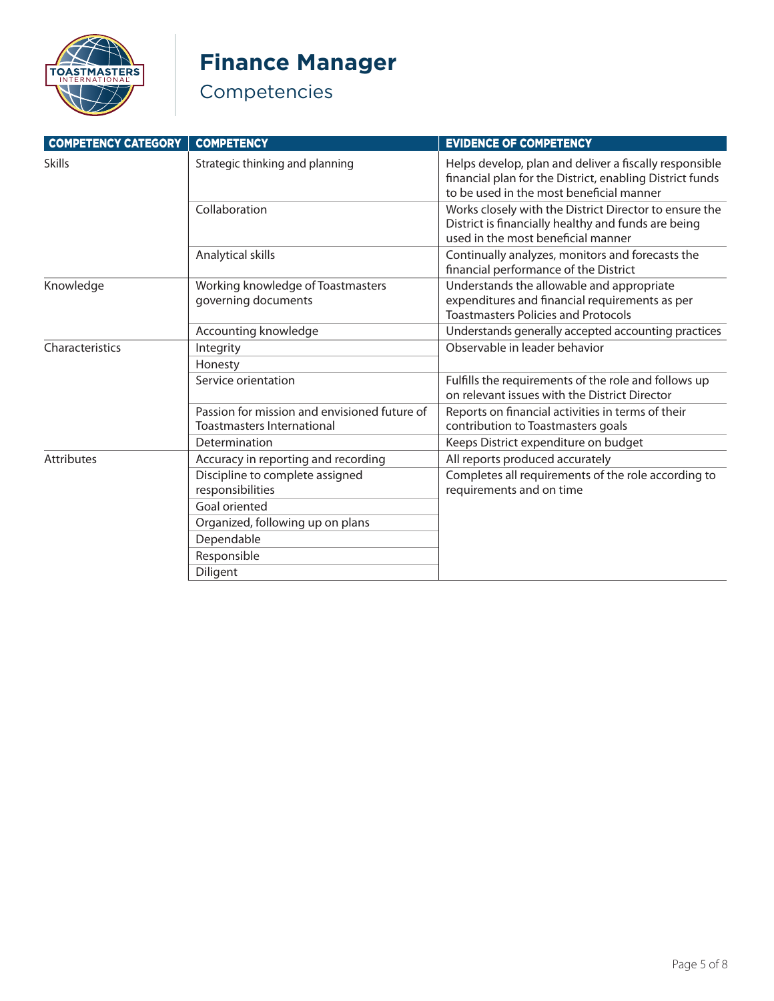

# **Finance Manager**

| <b>COMPETENCY CATEGORY</b> | <b>COMPETENCY</b>                                                                 | <b>EVIDENCE OF COMPETENCY</b>                                                                                                                                  |
|----------------------------|-----------------------------------------------------------------------------------|----------------------------------------------------------------------------------------------------------------------------------------------------------------|
| <b>Skills</b>              | Strategic thinking and planning                                                   | Helps develop, plan and deliver a fiscally responsible<br>financial plan for the District, enabling District funds<br>to be used in the most beneficial manner |
|                            | Collaboration                                                                     | Works closely with the District Director to ensure the<br>District is financially healthy and funds are being<br>used in the most beneficial manner            |
|                            | Analytical skills                                                                 | Continually analyzes, monitors and forecasts the<br>financial performance of the District                                                                      |
| Knowledge                  | Working knowledge of Toastmasters<br>governing documents                          | Understands the allowable and appropriate<br>expenditures and financial requirements as per<br><b>Toastmasters Policies and Protocols</b>                      |
|                            | Accounting knowledge                                                              | Understands generally accepted accounting practices                                                                                                            |
| Characteristics            | Integrity                                                                         | Observable in leader behavior                                                                                                                                  |
|                            | Honesty                                                                           |                                                                                                                                                                |
|                            | Service orientation                                                               | Fulfills the requirements of the role and follows up<br>on relevant issues with the District Director                                                          |
|                            | Passion for mission and envisioned future of<br><b>Toastmasters International</b> | Reports on financial activities in terms of their<br>contribution to Toastmasters goals                                                                        |
|                            | Determination                                                                     | Keeps District expenditure on budget                                                                                                                           |
| <b>Attributes</b>          | Accuracy in reporting and recording                                               | All reports produced accurately                                                                                                                                |
|                            | Discipline to complete assigned<br>responsibilities                               | Completes all requirements of the role according to<br>requirements and on time                                                                                |
|                            | Goal oriented                                                                     |                                                                                                                                                                |
|                            | Organized, following up on plans                                                  |                                                                                                                                                                |
|                            | Dependable                                                                        |                                                                                                                                                                |
|                            | Responsible                                                                       |                                                                                                                                                                |
|                            | Diligent                                                                          |                                                                                                                                                                |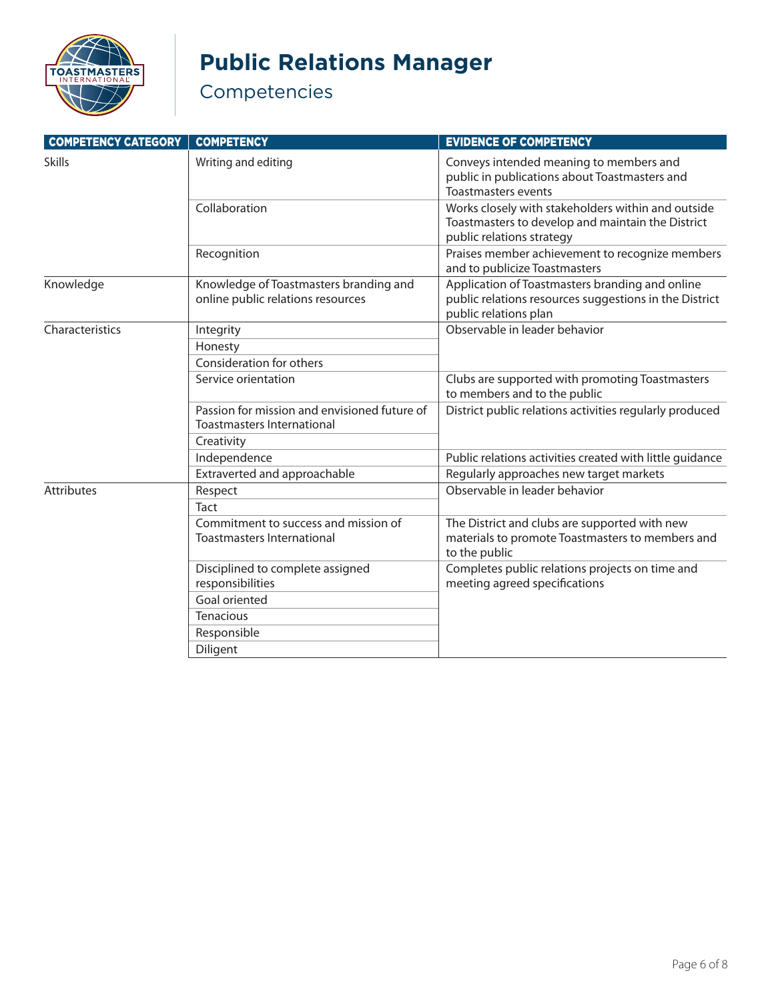

# **Public Relations Manager**

| <b>COMPETENCY CATEGORY</b> | <b>COMPETENCY</b>                                                                 | <b>EVIDENCE OF COMPETENCY</b>                                                                                                        |
|----------------------------|-----------------------------------------------------------------------------------|--------------------------------------------------------------------------------------------------------------------------------------|
| <b>Skills</b>              | Writing and editing                                                               | Conveys intended meaning to members and<br>public in publications about Toastmasters and<br><b>Toastmasters events</b>               |
|                            | Collaboration                                                                     | Works closely with stakeholders within and outside<br>Toastmasters to develop and maintain the District<br>public relations strategy |
|                            | Recognition                                                                       | Praises member achievement to recognize members<br>and to publicize Toastmasters                                                     |
| Knowledge                  | Knowledge of Toastmasters branding and<br>online public relations resources       | Application of Toastmasters branding and online<br>public relations resources suggestions in the District<br>public relations plan   |
| Characteristics            | Integrity                                                                         | Observable in leader behavior                                                                                                        |
|                            | Honesty<br>Consideration for others                                               |                                                                                                                                      |
|                            | Service orientation                                                               | Clubs are supported with promoting Toastmasters<br>to members and to the public                                                      |
|                            | Passion for mission and envisioned future of<br><b>Toastmasters International</b> | District public relations activities regularly produced                                                                              |
|                            | Creativity                                                                        |                                                                                                                                      |
|                            | Independence                                                                      | Public relations activities created with little guidance                                                                             |
|                            | Extraverted and approachable                                                      | Regularly approaches new target markets                                                                                              |
| Attributes                 | Respect                                                                           | Observable in leader behavior                                                                                                        |
|                            | Tact                                                                              |                                                                                                                                      |
|                            | Commitment to success and mission of<br><b>Toastmasters International</b>         | The District and clubs are supported with new<br>materials to promote Toastmasters to members and<br>to the public                   |
|                            | Disciplined to complete assigned<br>responsibilities                              | Completes public relations projects on time and<br>meeting agreed specifications                                                     |
|                            | Goal oriented                                                                     |                                                                                                                                      |
|                            | Tenacious                                                                         |                                                                                                                                      |
|                            | Responsible                                                                       |                                                                                                                                      |
|                            | Diligent                                                                          |                                                                                                                                      |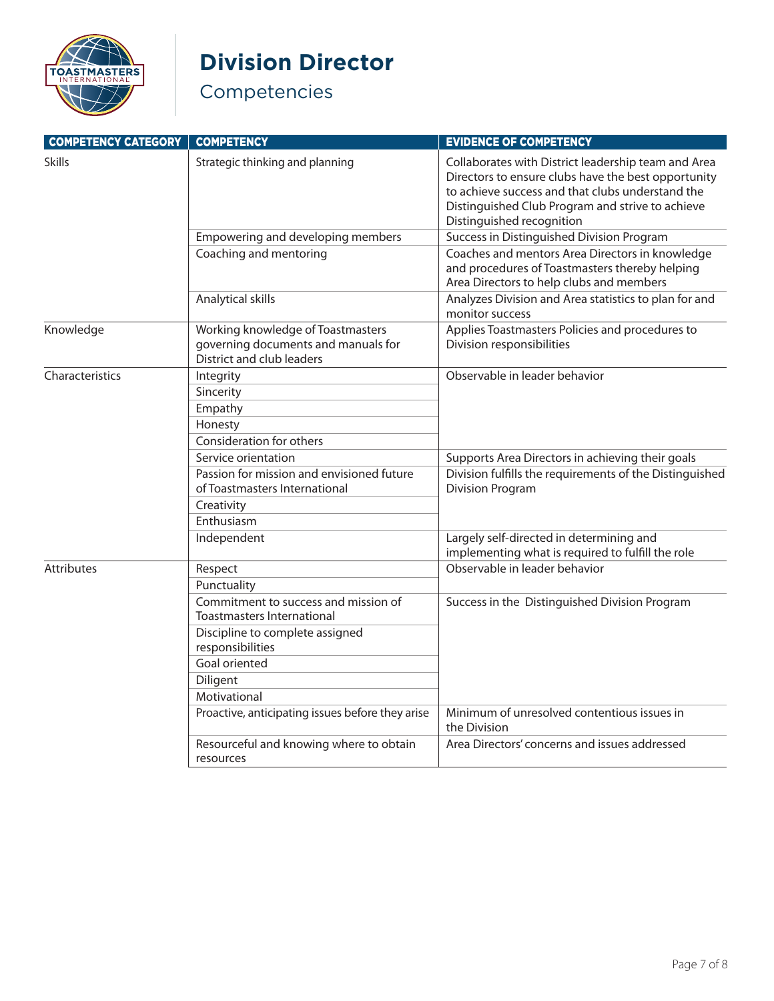

### **Division Director**

| <b>COMPETENCY CATEGORY</b> | <b>COMPETENCY</b>                                                                                     | <b>EVIDENCE OF COMPETENCY</b>                                                                                                                                                                                                                   |
|----------------------------|-------------------------------------------------------------------------------------------------------|-------------------------------------------------------------------------------------------------------------------------------------------------------------------------------------------------------------------------------------------------|
| <b>Skills</b>              | Strategic thinking and planning                                                                       | Collaborates with District leadership team and Area<br>Directors to ensure clubs have the best opportunity<br>to achieve success and that clubs understand the<br>Distinguished Club Program and strive to achieve<br>Distinguished recognition |
|                            | Empowering and developing members                                                                     | Success in Distinguished Division Program                                                                                                                                                                                                       |
|                            | Coaching and mentoring                                                                                | Coaches and mentors Area Directors in knowledge<br>and procedures of Toastmasters thereby helping<br>Area Directors to help clubs and members                                                                                                   |
|                            | Analytical skills                                                                                     | Analyzes Division and Area statistics to plan for and<br>monitor success                                                                                                                                                                        |
| Knowledge                  | Working knowledge of Toastmasters<br>governing documents and manuals for<br>District and club leaders | Applies Toastmasters Policies and procedures to<br>Division responsibilities                                                                                                                                                                    |
| Characteristics            | Integrity                                                                                             | Observable in leader behavior                                                                                                                                                                                                                   |
|                            | Sincerity                                                                                             |                                                                                                                                                                                                                                                 |
|                            | Empathy                                                                                               |                                                                                                                                                                                                                                                 |
|                            | Honesty                                                                                               |                                                                                                                                                                                                                                                 |
|                            | Consideration for others                                                                              |                                                                                                                                                                                                                                                 |
|                            | Service orientation                                                                                   | Supports Area Directors in achieving their goals                                                                                                                                                                                                |
|                            | Passion for mission and envisioned future<br>of Toastmasters International                            | Division fulfills the requirements of the Distinguished<br><b>Division Program</b>                                                                                                                                                              |
|                            | Creativity                                                                                            |                                                                                                                                                                                                                                                 |
|                            | Enthusiasm                                                                                            |                                                                                                                                                                                                                                                 |
|                            | Independent                                                                                           | Largely self-directed in determining and<br>implementing what is required to fulfill the role                                                                                                                                                   |
| <b>Attributes</b>          | Respect                                                                                               | Observable in leader behavior                                                                                                                                                                                                                   |
|                            | Punctuality                                                                                           |                                                                                                                                                                                                                                                 |
|                            | Commitment to success and mission of<br><b>Toastmasters International</b>                             | Success in the Distinguished Division Program                                                                                                                                                                                                   |
|                            | Discipline to complete assigned<br>responsibilities                                                   |                                                                                                                                                                                                                                                 |
|                            | Goal oriented                                                                                         |                                                                                                                                                                                                                                                 |
|                            | Diligent                                                                                              |                                                                                                                                                                                                                                                 |
|                            | Motivational                                                                                          |                                                                                                                                                                                                                                                 |
|                            | Proactive, anticipating issues before they arise                                                      | Minimum of unresolved contentious issues in<br>the Division                                                                                                                                                                                     |
|                            | Resourceful and knowing where to obtain<br>resources                                                  | Area Directors' concerns and issues addressed                                                                                                                                                                                                   |